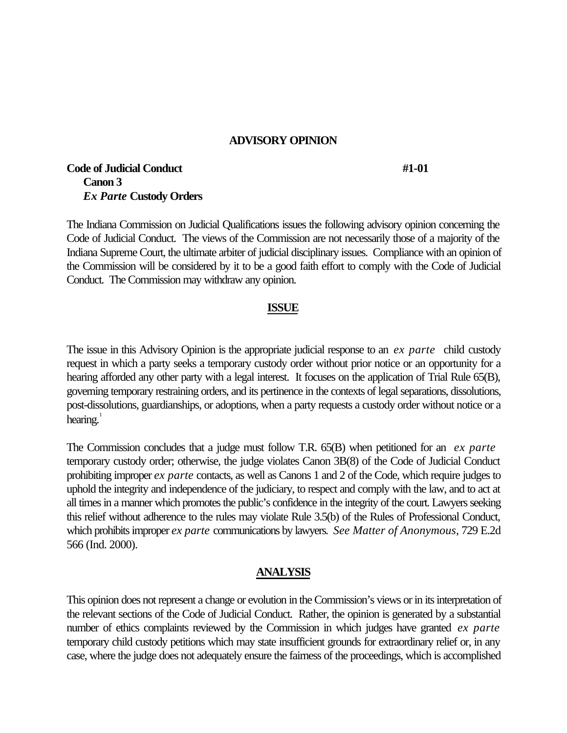## **ADVISORY OPINION**

**Code of Judicial Conduct #1-01 Canon 3** *Ex Parte* **Custody Orders**

The Indiana Commission on Judicial Qualifications issues the following advisory opinion concerning the Code of Judicial Conduct. The views of the Commission are not necessarily those of a majority of the Indiana Supreme Court, the ultimate arbiter of judicial disciplinary issues. Compliance with an opinion of the Commission will be considered by it to be a good faith effort to comply with the Code of Judicial Conduct. The Commission may withdraw any opinion.

## **ISSUE**

The issue in this Advisory Opinion is the appropriate judicial response to an *ex parte* child custody request in which a party seeks a temporary custody order without prior notice or an opportunity for a hearing afforded any other party with a legal interest. It focuses on the application of Trial Rule 65(B), governing temporary restraining orders, and its pertinence in the contexts of legal separations, dissolutions, post-dissolutions, guardianships, or adoptions, when a party requests a custody order without notice or a hearing. $1$ 

The Commission concludes that a judge must follow T.R. 65(B) when petitioned for an *ex parte* temporary custody order; otherwise, the judge violates Canon 3B(8) of the Code of Judicial Conduct prohibiting improper *ex parte* contacts, as well as Canons 1 and 2 of the Code, which require judges to uphold the integrity and independence of the judiciary, to respect and comply with the law, and to act at all times in a manner which promotes the public's confidence in the integrity of the court. Lawyers seeking this relief without adherence to the rules may violate Rule 3.5(b) of the Rules of Professional Conduct, which prohibits improper *ex parte* communications by lawyers. *See Matter of Anonymous*, 729 E.2d 566 (Ind. 2000).

## **ANALYSIS**

This opinion does not represent a change or evolution in the Commission's views or in its interpretation of the relevant sections of the Code of Judicial Conduct. Rather, the opinion is generated by a substantial number of ethics complaints reviewed by the Commission in which judges have granted *ex parte* temporary child custody petitions which may state insufficient grounds for extraordinary relief or, in any case, where the judge does not adequately ensure the fairness of the proceedings, which is accomplished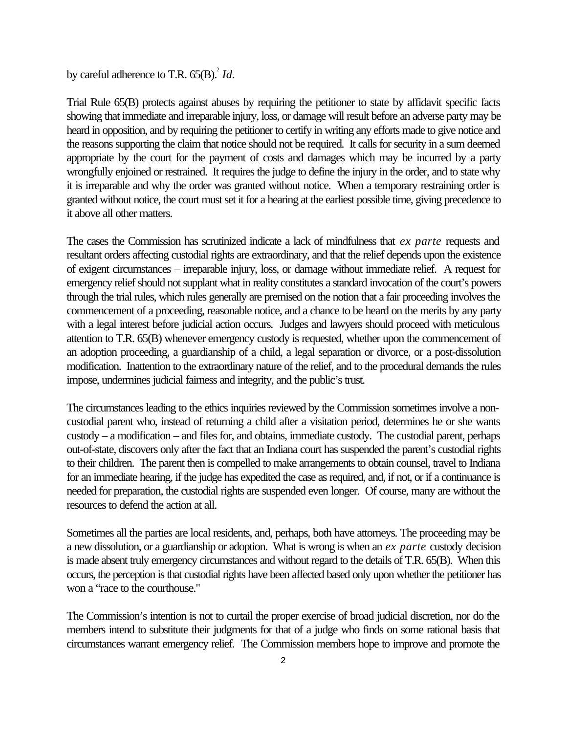by careful adherence to T.R.  $65(B)$ .<sup>2</sup> *Id.* 

Trial Rule 65(B) protects against abuses by requiring the petitioner to state by affidavit specific facts showing that immediate and irreparable injury, loss, or damage will result before an adverse party may be heard in opposition, and by requiring the petitioner to certify in writing any efforts made to give notice and the reasons supporting the claim that notice should not be required. It calls for security in a sum deemed appropriate by the court for the payment of costs and damages which may be incurred by a party wrongfully enjoined or restrained. It requires the judge to define the injury in the order, and to state why it is irreparable and why the order was granted without notice. When a temporary restraining order is granted without notice, the court must set it for a hearing at the earliest possible time, giving precedence to it above all other matters.

The cases the Commission has scrutinized indicate a lack of mindfulness that *ex parte* requests and resultant orders affecting custodial rights are extraordinary, and that the relief depends upon the existence of exigent circumstances – irreparable injury, loss, or damage without immediate relief. A request for emergency relief should not supplant what in reality constitutes a standard invocation of the court's powers through the trial rules, which rules generally are premised on the notion that a fair proceeding involves the commencement of a proceeding, reasonable notice, and a chance to be heard on the merits by any party with a legal interest before judicial action occurs. Judges and lawyers should proceed with meticulous attention to T.R. 65(B) whenever emergency custody is requested, whether upon the commencement of an adoption proceeding, a guardianship of a child, a legal separation or divorce, or a post-dissolution modification. Inattention to the extraordinary nature of the relief, and to the procedural demands the rules impose, undermines judicial fairness and integrity, and the public's trust.

The circumstances leading to the ethics inquiries reviewed by the Commission sometimes involve a noncustodial parent who, instead of returning a child after a visitation period, determines he or she wants custody – a modification – and files for, and obtains, immediate custody. The custodial parent, perhaps out-of-state, discovers only after the fact that an Indiana court has suspended the parent's custodial rights to their children. The parent then is compelled to make arrangements to obtain counsel, travel to Indiana for an immediate hearing, if the judge has expedited the case as required, and, if not, or if a continuance is needed for preparation, the custodial rights are suspended even longer. Of course, many are without the resources to defend the action at all.

Sometimes all the parties are local residents, and, perhaps, both have attorneys. The proceeding may be a new dissolution, or a guardianship or adoption. What is wrong is when an *ex parte* custody decision is made absent truly emergency circumstances and without regard to the details of T.R. 65(B). When this occurs, the perception is that custodial rights have been affected based only upon whether the petitioner has won a "race to the courthouse."

The Commission's intention is not to curtail the proper exercise of broad judicial discretion, nor do the members intend to substitute their judgments for that of a judge who finds on some rational basis that circumstances warrant emergency relief. The Commission members hope to improve and promote the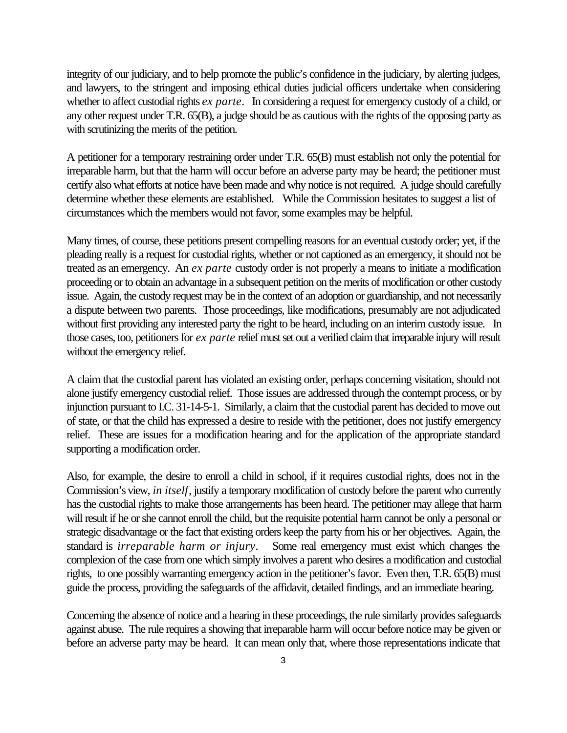integrity of our judiciary, and to help promote the public's confidence in the judiciary, by alerting judges, and lawyers, to the stringent and imposing ethical duties judicial officers undertake when considering whether to affect custodial rights *ex parte*. In considering a request for emergency custody of a child, or any other request under T.R. 65(B), a judge should be as cautious with the rights of the opposing party as with scrutinizing the merits of the petition.

A petitioner for a temporary restraining order under T.R. 65(B) must establish not only the potential for irreparable harm, but that the harm will occur before an adverse party may be heard; the petitioner must certify also what efforts at notice have been made and why notice is not required. A judge should carefully determine whether these elements are established. While the Commission hesitates to suggest a list of circumstances which the members would not favor, some examples may be helpful.

Many times, of course, these petitions present compelling reasons for an eventual custody order; yet, if the pleading really is a request for custodial rights, whether or not captioned as an emergency, it should not be treated as an emergency. An *ex parte* custody order is not properly a means to initiate a modification proceeding or to obtain an advantage in a subsequent petition on the merits of modification or other custody issue. Again, the custody request may be in the context of an adoption or guardianship, and not necessarily a dispute between two parents. Those proceedings, like modifications, presumably are not adjudicated without first providing any interested party the right to be heard, including on an interim custody issue. In those cases, too, petitioners for *ex parte* relief must set out a verified claim that irreparable injury will result without the emergency relief.

A claim that the custodial parent has violated an existing order, perhaps concerning visitation, should not alone justify emergency custodial relief. Those issues are addressed through the contempt process, or by injunction pursuant to I.C. 31-14-5-1. Similarly, a claim that the custodial parent has decided to move out of state, or that the child has expressed a desire to reside with the petitioner, does not justify emergency relief. These are issues for a modification hearing and for the application of the appropriate standard supporting a modification order.

Also, for example, the desire to enroll a child in school, if it requires custodial rights, does not in the Commission's view, *in itself*, justify a temporary modification of custody before the parent who currently has the custodial rights to make those arrangements has been heard. The petitioner may allege that harm will result if he or she cannot enroll the child, but the requisite potential harm cannot be only a personal or strategic disadvantage or the fact that existing orders keep the party from his or her objectives. Again, the standard is *irreparable harm or injury*. Some real emergency must exist which changes the complexion of the case from one which simply involves a parent who desires a modification and custodial rights, to one possibly warranting emergency action in the petitioner's favor. Even then, T.R. 65(B) must guide the process, providing the safeguards of the affidavit, detailed findings, and an immediate hearing.

Concerning the absence of notice and a hearing in these proceedings, the rule similarly provides safeguards against abuse. The rule requires a showing that irreparable harm will occur before notice may be given or before an adverse party may be heard. It can mean only that, where those representations indicate that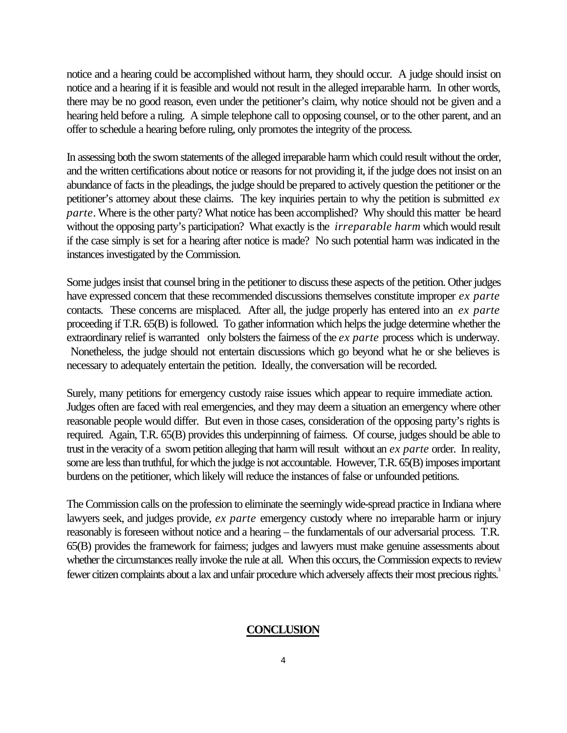notice and a hearing could be accomplished without harm, they should occur. A judge should insist on notice and a hearing if it is feasible and would not result in the alleged irreparable harm. In other words, there may be no good reason, even under the petitioner's claim, why notice should not be given and a hearing held before a ruling. A simple telephone call to opposing counsel, or to the other parent, and an offer to schedule a hearing before ruling, only promotes the integrity of the process.

In assessing both the sworn statements of the alleged irreparable harm which could result without the order, and the written certifications about notice or reasons for not providing it, if the judge does not insist on an abundance of facts in the pleadings, the judge should be prepared to actively question the petitioner or the petitioner's attorney about these claims. The key inquiries pertain to why the petition is submitted *ex parte*. Where is the other party? What notice has been accomplished? Why should this matter be heard without the opposing party's participation? What exactly is the *irreparable harm* which would result if the case simply is set for a hearing after notice is made? No such potential harm was indicated in the instances investigated by the Commission.

Some judges insist that counsel bring in the petitioner to discuss these aspects of the petition. Other judges have expressed concern that these recommended discussions themselves constitute improper *ex parte* contacts. These concerns are misplaced. After all, the judge properly has entered into an *ex parte* proceeding if T.R. 65(B) is followed. To gather information which helps the judge determine whether the extraordinary relief is warranted only bolsters the fairness of the *ex parte* process which is underway. Nonetheless, the judge should not entertain discussions which go beyond what he or she believes is necessary to adequately entertain the petition. Ideally, the conversation will be recorded.

Surely, many petitions for emergency custody raise issues which appear to require immediate action. Judges often are faced with real emergencies, and they may deem a situation an emergency where other reasonable people would differ. But even in those cases, consideration of the opposing party's rights is required. Again, T.R. 65(B) provides this underpinning of fairness. Of course, judges should be able to trust in the veracity of a sworn petition alleging that harm will result without an *ex parte* order. In reality, some are less than truthful, for which the judge is not accountable. However, T.R. 65(B) imposes important burdens on the petitioner, which likely will reduce the instances of false or unfounded petitions.

The Commission calls on the profession to eliminate the seemingly wide-spread practice in Indiana where lawyers seek, and judges provide, *ex parte* emergency custody where no irreparable harm or injury reasonably is foreseen without notice and a hearing – the fundamentals of our adversarial process. T.R. 65(B) provides the framework for fairness; judges and lawyers must make genuine assessments about whether the circumstances really invoke the rule at all. When this occurs, the Commission expects to review fewer citizen complaints about a lax and unfair procedure which adversely affects their most precious rights.<sup>3</sup>

## **CONCLUSION**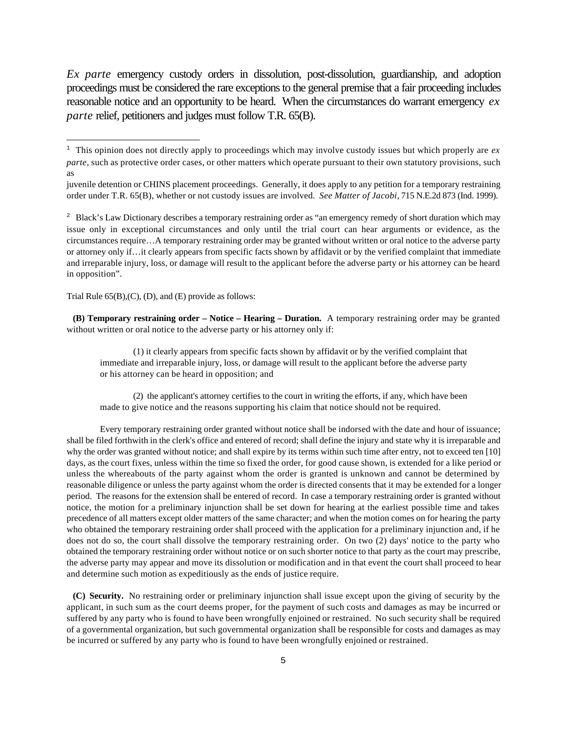*Ex parte* emergency custody orders in dissolution, post-dissolution, guardianship, and adoption proceedings must be considered the rare exceptions to the general premise that a fair proceeding includes reasonable notice and an opportunity to be heard. When the circumstances do warrant emergency *ex parte* relief, petitioners and judges must follow T.R. 65(B).

<sup>2</sup> Black's Law Dictionary describes a temporary restraining order as "an emergency remedy of short duration which may issue only in exceptional circumstances and only until the trial court can hear arguments or evidence, as the circumstances require…A temporary restraining order may be granted without written or oral notice to the adverse party or attorney only if…it clearly appears from specific facts shown by affidavit or by the verified complaint that immediate and irreparable injury, loss, or damage will result to the applicant before the adverse party or his attorney can be heard in opposition".

Trial Rule  $65(B)$ ,  $(C)$ ,  $(D)$ , and  $(E)$  provide as follows:

i<br>L

 **(B) Temporary restraining order – Notice – Hearing – Duration.** A temporary restraining order may be granted without written or oral notice to the adverse party or his attorney only if:

(1) it clearly appears from specific facts shown by affidavit or by the verified complaint that immediate and irreparable injury, loss, or damage will result to the applicant before the adverse party or his attorney can be heard in opposition; and

(2) the applicant's attorney certifies to the court in writing the efforts, if any, which have been made to give notice and the reasons supporting his claim that notice should not be required.

Every temporary restraining order granted without notice shall be indorsed with the date and hour of issuance; shall be filed forthwith in the clerk's office and entered of record; shall define the injury and state why it is irreparable and why the order was granted without notice; and shall expire by its terms within such time after entry, not to exceed ten [10] days, as the court fixes, unless within the time so fixed the order, for good cause shown, is extended for a like period or unless the whereabouts of the party against whom the order is granted is unknown and cannot be determined by reasonable diligence or unless the party against whom the order is directed consents that it may be extended for a longer period. The reasons for the extension shall be entered of record. In case a temporary restraining order is granted without notice, the motion for a preliminary injunction shall be set down for hearing at the earliest possible time and takes precedence of all matters except older matters of the same character; and when the motion comes on for hearing the party who obtained the temporary restraining order shall proceed with the application for a preliminary injunction and, if he does not do so, the court shall dissolve the temporary restraining order. On two (2) days' notice to the party who obtained the temporary restraining order without notice or on such shorter notice to that party as the court may prescribe, the adverse party may appear and move its dissolution or modification and in that event the court shall proceed to hear and determine such motion as expeditiously as the ends of justice require.

 **(C) Security.** No restraining order or preliminary injunction shall issue except upon the giving of security by the applicant, in such sum as the court deems proper, for the payment of such costs and damages as may be incurred or suffered by any party who is found to have been wrongfully enjoined or restrained. No such security shall be required of a governmental organization, but such governmental organization shall be responsible for costs and damages as may be incurred or suffered by any party who is found to have been wrongfully enjoined or restrained.

<sup>1</sup> This opinion does not directly apply to proceedings which may involve custody issues but which properly are *ex parte*, such as protective order cases, or other matters which operate pursuant to their own statutory provisions, such as

juvenile detention or CHINS placement proceedings. Generally, it does apply to any petition for a temporary restraining order under T.R. 65(B), whether or not custody issues are involved. *See Matter of Jacobi*, 715 N.E.2d 873 (Ind. 1999).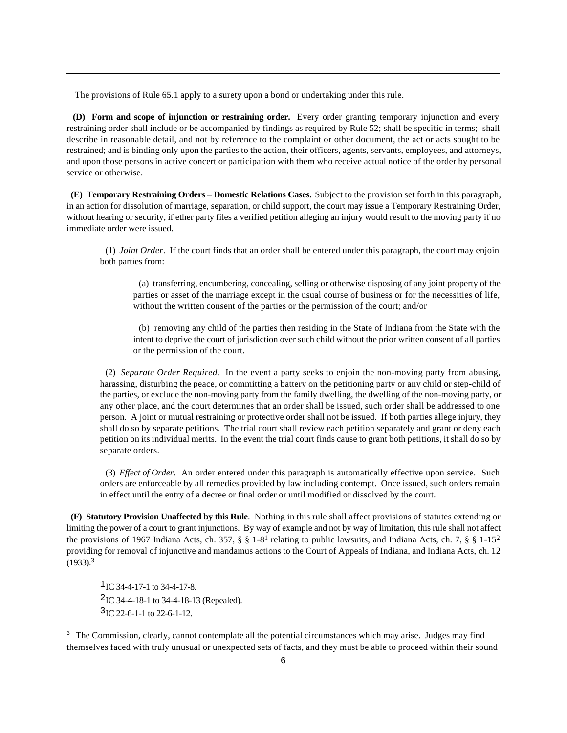The provisions of Rule 65.1 apply to a surety upon a bond or undertaking under this rule.

i<br>L

 **(D) Form and scope of injunction or restraining order.** Every order granting temporary injunction and every restraining order shall include or be accompanied by findings as required by Rule 52; shall be specific in terms; shall describe in reasonable detail, and not by reference to the complaint or other document, the act or acts sought to be restrained; and is binding only upon the parties to the action, their officers, agents, servants, employees, and attorneys, and upon those persons in active concert or participation with them who receive actual notice of the order by personal service or otherwise.

 **(E) Temporary Restraining Orders – Domestic Relations Cases.** Subject to the provision set forth in this paragraph, in an action for dissolution of marriage, separation, or child support, the court may issue a Temporary Restraining Order, without hearing or security, if ether party files a verified petition alleging an injury would result to the moving party if no immediate order were issued.

(1) *Joint Order*. If the court finds that an order shall be entered under this paragraph, the court may enjoin both parties from:

(a) transferring, encumbering, concealing, selling or otherwise disposing of any joint property of the parties or asset of the marriage except in the usual course of business or for the necessities of life, without the written consent of the parties or the permission of the court; and/or

(b) removing any child of the parties then residing in the State of Indiana from the State with the intent to deprive the court of jurisdiction over such child without the prior written consent of all parties or the permission of the court.

(2) *Separate Order Required*. In the event a party seeks to enjoin the non-moving party from abusing, harassing, disturbing the peace, or committing a battery on the petitioning party or any child or step-child of the parties, or exclude the non-moving party from the family dwelling, the dwelling of the non-moving party, or any other place, and the court determines that an order shall be issued, such order shall be addressed to one person. A joint or mutual restraining or protective order shall not be issued. If both parties allege injury, they shall do so by separate petitions. The trial court shall review each petition separately and grant or deny each petition on its individual merits. In the event the trial court finds cause to grant both petitions, it shall do so by separate orders.

(3) *Effect of Order*. An order entered under this paragraph is automatically effective upon service. Such orders are enforceable by all remedies provided by law including contempt. Once issued, such orders remain in effect until the entry of a decree or final order or until modified or dissolved by the court.

 **(F) Statutory Provision Unaffected by this Rule**. Nothing in this rule shall affect provisions of statutes extending or limiting the power of a court to grant injunctions. By way of example and not by way of limitation, this rule shall not affect the provisions of 1967 Indiana Acts, ch. 357, § § 1-8<sup>1</sup> relating to public lawsuits, and Indiana Acts, ch. 7, § § 1-15<sup>2</sup> providing for removal of injunctive and mandamus actions to the Court of Appeals of Indiana, and Indiana Acts, ch. 12  $(1933).<sup>3</sup>$ 

 ${}^{1}$ IC 34-4-17-1 to 34-4-17-8. 2IC 34-4-18-1 to 34-4-18-13 (Repealed). 3IC 22-6-1-1 to 22-6-1-12.

<sup>3</sup> The Commission, clearly, cannot contemplate all the potential circumstances which may arise. Judges may find themselves faced with truly unusual or unexpected sets of facts, and they must be able to proceed within their sound